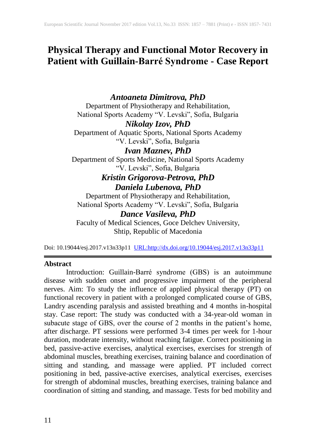# **Physical Therapy and Functional Motor Recovery in Patient with Guillain-Barré Syndrome - Case Report**

# *Antoaneta Dimitrova, PhD*

Department of Physiotherapy and Rehabilitation, National Sports Academy "V. Levski", Sofia, Bulgaria

# *Nikolay Izov, PhD*

Department of Aquatic Sports, National Sports Academy "V. Levski", Sofia, Bulgaria

# *Ivan Maznev, PhD*

Department of Sports Medicine, National Sports Academy "V. Levski", Sofia, Bulgaria

# *Kristin Grigorova-Petrova, PhD Daniela Lubenova, PhD*

Department of Physiotherapy and Rehabilitation, National Sports Academy "V. Levski", Sofia, Bulgaria

# *Dance Vasileva, PhD*

Faculty of Medical Sciences, Goce Delchev University, Shtip, Republic of Macedonia

Doi: 10.19044/esj.2017.v13n33p11 [URL:http://dx.doi.org/10.19044/esj.2017.v13n33p11](http://dx.doi.org/10.19044/esj.2017.v13n33p11)

## **Abstract**

Introduction: Guillain-Barré syndrome (GBS) is an autoimmune disease with sudden onset and progressive impairment of the peripheral nerves. Aim: To study the influence of applied physical therapy (PT) on functional recovery in patient with a prolonged complicated course of GBS, Landry ascending paralysis and assisted breathing and 4 months in-hospital stay. Case report: The study was conducted with a 34-year-old woman in subacute stage of GBS, over the course of 2 months in the patient's home, after discharge. PT sessions were performed 3-4 times per week for 1-hour duration, moderate intensity, without reaching fatigue. Correct positioning in bed, passive-active exercises, analytical exercises, exercises for strength of abdominal muscles, breathing exercises, training balance and coordination of sitting and standing, and massage were applied. PT included correct positioning in bed, passive-active exercises, analytical exercises, exercises for strength of abdominal muscles, breathing exercises, training balance and coordination of sitting and standing, and massage. Tests for bed mobility and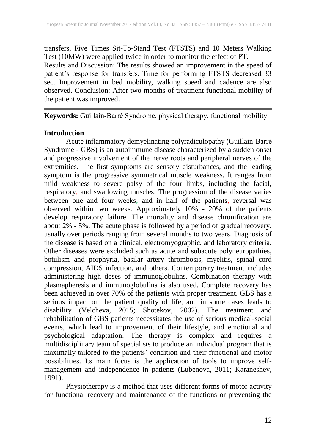transfers, Five Times Sit-To-Stand Test (FTSTS) and 10 Meters Walking Test (10MW) were applied twice in order to monitor the effect of PT. Results and Discussion: The results showed an improvement in the speed of patient's response for transfers. Time for performing FTSTS decreased 33 sec. Improvement in bed mobility, walking speed and cadence are also observed. Conclusion: After two months of treatment functional mobility of the patient was improved.

**Keywords:** Guillain-Barré Syndrome, physical therapy, functional mobility

# **Introduction**

Acute inflammatory demyelinating polyradiculopathy (Guillain-Barré Syndrome - GBS) is an autoimmune disease characterized by a sudden onset and progressive involvement of the nerve roots and peripheral nerves of the extremities. The first symptoms are sensory disturbances, and the leading symptom is the progressive symmetrical muscle weakness. It ranges from mild weakness to severe palsy of the four limbs, including the facial, respiratory, and swallowing muscles. The progression of the disease varies between one and four weeks, and in half of the patients, reversal was observed within two weeks. Approximately 10% - 20% of the patients develop respiratory failure. The mortality and disease chronification are about 2% - 5%. The acute phase is followed by a period of gradual recovery, usually over periods ranging from several months to two years. Diagnosis of the disease is based on a clinical, electromyographic, and laboratory criteria. Other diseases were excluded such as acute and subacute polyneuropathies, botulism and porphyria, basilar artery thrombosis, myelitis, spinal cord compression, AIDS infection, and others. Contemporary treatment includes administering high doses of immunoglobulins. Combination therapy with plasmapheresis and immunoglobulins is also used. Complete recovery has been achieved in over 70% of the patients with proper treatment. GBS has a serious impact on the patient quality of life, and in some cases leads to disability (Velcheva, 2015; Shotekov, 2002). The treatment and rehabilitation of GBS patients necessitates the use of serious medical-social events, which lead to improvement of their lifestyle, and emotional and psychological adaptation. The therapy is complex and requires a multidisciplinary team of specialists to produce an individual program that is maximally tailored to the patients' condition and their functional and motor possibilities. Its main focus is the application of tools to improve selfmanagement and independence in patients (Lubenova, 2011; Karaneshev, 1991).

Physiotherapy is a method that uses different forms of motor activity for functional recovery and maintenance of the functions or preventing the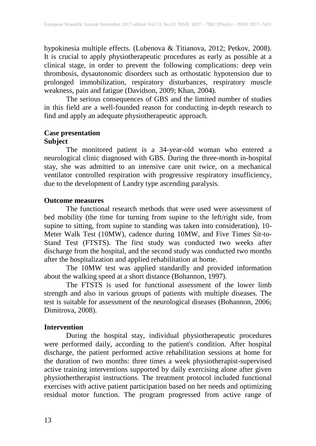hypokinesia multiple effects. (Lubenova & Titianova, 2012; Petkov, 2008). It is crucial to apply physiotherapeutic procedures as early as possible at a clinical stage, in order to prevent the following complications: deep vein thrombosis, dysautonomic disorders such as orthostatic hypotension due to prolonged immobilization, respiratory disturbances, respiratory muscle weakness, pain and fatigue (Davidson, 2009; Khan, 2004).

The serious consequences of GBS and the limited number of studies in this field are a well-founded reason for conducting in-depth research to find and apply an adequate physiotherapeutic approach.

## **Case presentation Subject**

The monitored patient is a 34-year-old woman who entered a neurological clinic diagnosed with GBS. During the three-month in-hospital stay, she was admitted to an intensive care unit twice, on a mechanical ventilator controlled respiration with progressive respiratory insufficiency, due to the development of Landry type ascending paralysis.

### **Outcome measures**

The functional research methods that were used were assessment of bed mobility (the time for turning from supine to the left/right side, from supine to sitting, from supine to standing was taken into consideration), 10- Meter Walk Test (10MW), cadence during 10MW, and Five Times Sit-to-Stand Test (FTSTS). The first study was conducted two weeks after discharge from the hospital, and the second study was conducted two months after the hospitalization and applied rehabilitation at home.

The 10MW test was applied standardly and provided information about the walking speed at a short distance (Bohannon, 1997).

The FTSTS is used for functional assessment of the lower limb strength and also in various groups of patients with multiple diseases. The test is suitable for assessment of the neurological diseases (Bohannon, 2006; Dimitrova, 2008).

## **Intervention**

During the hospital stay, individual physiotherapeutic procedures were performed daily, according to the patient's condition. After hospital discharge, the patient performed active rehabilitation sessions at home for the duration of two months: three times a week physiotherapist-supervised active training interventions supported by daily exercising alone after given physiothertherapist instructions. The treatment protocol included functional exercises with active patient participation based on her needs and optimizing residual motor function. The program progressed from active range of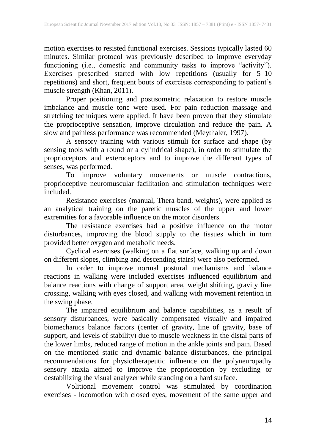motion exercises to resisted functional exercises. Sessions typically lasted 60 minutes. Similar protocol was previously described to improve everyday functioning (i.e., domestic and community tasks to improve "activity"). Exercises prescribed started with low repetitions (usually for 5–10 repetitions) and short, frequent bouts of exercises corresponding to patient's muscle strength (Khan, 2011).

Proper positioning and postisometric relaxation to restore muscle imbalance and muscle tone were used. For pain reduction massage and stretching techniques were applied. It have been proven that they stimulate the proprioceptive sensation, improve circulation and reduce the pain. A slow and painless performance was recommended (Meythaler, 1997).

A sensory training with various stimuli for surface and shape (by sensing tools with a round or a cylindrical shape), in order to stimulate the proprioceptors and exteroceptors and to improve the different types of senses, was performed.

To improve voluntary movements or muscle contractions, proprioceptive neuromuscular facilitation and stimulation techniques were included.

Resistance exercises (manual, Thera-band, weights), were applied as an analytical training on the paretic muscles of the upper and lower extremities for a favorable influence on the motor disorders.

The resistance exercises had a positive influence on the motor disturbances, improving the blood supply to the tissues which in turn provided better oxygen and metabolic needs.

Cyclical exercises (walking on a flat surface, walking up and down on different slopes, climbing and descending stairs) were also performed.

In order to improve normal postural mechanisms and balance reactions in walking were included exercises influenced equilibrium and balance reactions with change of support area, weight shifting, gravity line crossing, walking with eyes closed, and walking with movement retention in the swing phase.

The impaired equilibrium and balance capabilities, as a result of sensory disturbances, were basically compensated visually and impaired biomechanics balance factors (center of gravity, line of gravity, base of support, and levels of stability) due to muscle weakness in the distal parts of the lower limbs, reduced range of motion in the ankle joints and pain. Based on the mentioned static and dynamic balance disturbances, the principal recommendations for physiotherapeutic influence on the polyneuropathy sensory ataxia aimed to improve the proprioception by excluding or destabilizing the visual analyzer while standing on a hard surface.

Volitional movement control was stimulated by coordination exercises - locomotion with closed eyes, movement of the same upper and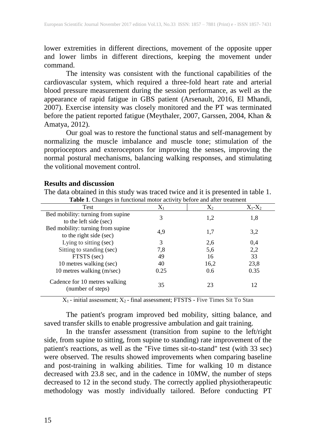lower extremities in different directions, movement of the opposite upper and lower limbs in different directions, keeping the movement under command.

The intensity was consistent with the functional capabilities of the cardiovascular system, which required a three-fold heart rate and arterial blood pressure measurement during the session performance, as well as the appearance of rapid fatigue in GBS patient (Arsenault, 2016, El Mhandi, 2007). Exercise intensity was closely monitored and the PT was terminated before the patient reported fatigue (Meythaler, 2007, Garssen, 2004, Khan & Amatya, 2012).

Our goal was to restore the functional status and self-management by normalizing the muscle imbalance and muscle tone; stimulation of the proprioceptors and exteroceptors for improving the senses, improving the normal postural mechanisms, balancing walking responses, and stimulating the volitional movement control.

The data obtained in this study was traced twice and it is presented in table 1.

| <b>Table 1.</b> Changes in functional motor activity before and after treatment |       |       |             |
|---------------------------------------------------------------------------------|-------|-------|-------------|
| Test                                                                            | $X_1$ | $X_2$ | $X_1 - X_2$ |
| Bed mobility: turning from supine<br>to the left side (sec)                     | 3     | 1,2   | 1,8         |
| Bed mobility: turning from supine<br>to the right side (sec)                    | 4,9   | 1,7   | 3,2         |
| Lying to sitting (sec)                                                          | 3     | 2,6   | 0,4         |
| Sitting to standing (sec)                                                       | 7,8   | 5,6   | 2,2         |
| FTSTS (sec)                                                                     | 49    | 16    | 33          |
| 10 metres walking (sec)                                                         | 40    | 16,2  | 23,8        |
| 10 metres walking (m/sec)                                                       | 0.25  | 0.6   | 0.35        |
| Cadence for 10 metres walking<br>(number of steps)                              | 35    | 23    | 12          |

#### **Results and discussion**

 $X_1$  - initial assessment;  $X_2$  - final assessment; FTSTS - Five Times Sit To Stan

The patient's program improved bed mobility, sitting balance, and saved transfer skills to enable progressive ambulation and gait training.

In the transfer assessment (transition from supine to the left/right side, from supine to sitting, from supine to standing) rate improvement of the patient's reactions, as well as the "Five times sit-to-stand" test (with 33 sec) were observed. The results showed improvements when comparing baseline and post-training in walking abilities. Time for walking 10 m distance decreased with 23.8 sec, and in the cadence in 10MW, the number of steps decreased to 12 in the second study. The correctly applied physiotherapeutic methodology was mostly individually tailored. Before conducting PT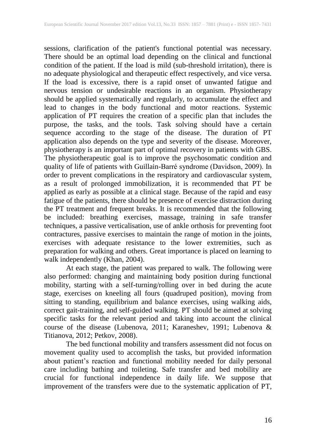sessions, clarification of the patient's functional potential was necessary. There should be an optimal load depending on the clinical and functional condition of the patient. If the load is mild (sub-threshold irritation), there is no adequate physiological and therapeutic effect respectively, and vice versa. If the load is excessive, there is a rapid onset of unwanted fatigue and nervous tension or undesirable reactions in an organism. Physiotherapy should be applied systematically and regularly, to accumulate the effect and lead to changes in the body functional and motor reactions. Systemic application of PT requires the creation of a specific plan that includes the purpose, the tasks, and the tools. Task solving should have a certain sequence according to the stage of the disease. The duration of PT application also depends on the type and severity of the disease. Moreover, physiotherapy is an important part of optimal recovery in patients with GBS. The physiotherapeutic goal is to improve the psychosomatic condition and quality of life of patients with Guillain-Barré syndrome (Davidson, 2009). In order to prevent complications in the respiratory and cardiovascular system, as a result of prolonged immobilization, it is recommended that PT be applied as early as possible at a clinical stage. Because of the rapid and easy fatigue of the patients, there should be presence of exercise distraction during the PT treatment and frequent breaks. It is recommended that the following be included: breathing exercises, massage, training in safe transfer techniques, a passive verticalisation, use of ankle orthosis for preventing foot contractures, passive exercises to maintain the range of motion in the joints, exercises with adequate resistance to the lower extremities, such as preparation for walking and others. Great importance is placed on learning to walk independently (Khan, 2004).

At each stage, the patient was prepared to walk. The following were also performed: changing and maintaining body position during functional mobility, starting with a self-turning/rolling over in bed during the acute stage, exercises on kneeling all fours (quadruped position), moving from sitting to standing, equilibrium and balance exercises, using walking aids, correct gait-training, and self-guided walking. PT should be aimed at solving specific tasks for the relevant period and taking into account the clinical course of the disease (Lubenova, 2011; Karaneshev, 1991; Lubenova & Titianova, 2012; Petkov, 2008).

The bed functional mobility and transfers assessment did not focus on movement quality used to accomplish the tasks, but provided information about patient's reaction and functional mobility needed for daily personal care including bathing and toileting. Safe transfer and bed mobility are crucial for functional independence in daily life. We suppose that improvement of the transfers were due to the systematic application of PT,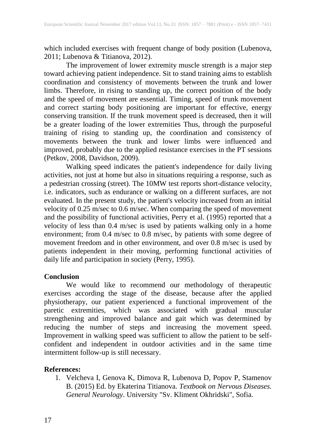which included exercises with frequent change of body position (Lubenova, 2011; Lubenova & Titianova, 2012).

The improvement of lower extremity muscle strength is a major step toward achieving patient independence. Sit to stand training aims to establish coordination and consistency of movements between the trunk and lower limbs. Therefore, in rising to standing up, the correct position of the body and the speed of movement are essential. Timing, speed of trunk movement and correct starting body positioning are important for effective, energy conserving transition. If the trunk movement speed is decreased, then it will be a greater loading of the lower extremities Thus, through the purposeful training of rising to standing up, the coordination and consistency of movements between the trunk and lower limbs were influenced and improved, probably due to the applied resistance exercises in the PT sessions (Petkov, 2008, Davidson, 2009).

Walking speed indicates the patient's independence for daily living activities, not just at home but also in situations requiring a response, such as a pedestrian crossing (street). The 10MW test reports short-distance velocity, i.e. indicators, such as endurance or walking on a different surfaces, are not evaluated. In the present study, the patient's velocity increased from an initial velocity of 0.25 m/sec to 0.6 m/sec. When comparing the speed of movement and the possibility of functional activities, Perry et al. (1995) reported that a velocity of less than 0.4 m/sec is used by patients walking only in a home environment; from 0.4 m/sec to 0.8 m/sec, by patients with some degree of movement freedom and in other environment, and over 0.8 m/sec is used by patients independent in their moving, performing functional activities of daily life and participation in society (Perry, 1995).

## **Conclusion**

We would like to recommend our methodology of therapeutic exercises according the stage of the disease, because after the applied physiotherapy, our patient experienced a functional improvement of the paretic extremities, which was associated with gradual muscular strengthening and improved balance and gait which was determined by reducing the number of steps and increasing the movement speed. Improvement in walking speed was sufficient to allow the patient to be selfconfident and independent in outdoor activities and in the same time intermittent follow-up is still necessary.

## **References:**

1. Velcheva I, Genova K, Dimova R, Lubenova D, Popov P, Stamenov B. (2015) Ed. by Ekaterina Titianova. *Textbook on Nervous Diseases. General Neurology*. University "Sv. Kliment Okhridski", Sofia.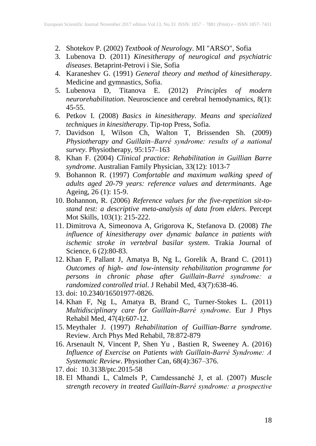- 2. Shotekov P. (2002) *Textbook of Neurology*. MI "ARSO", Sofia
- 3. Lubenova D. (2011) *Kinesitherapy of neurogical and psychiatric diseases*. Betaprint-Petrovi i Sie, Sofia
- 4. Karaneshev G. (1991) *General theory and method of kinesitherapy*. Medicine and gymnastics, Sofia.
- 5. Lubenova D, Titanova E. (2012) *Principles of modern neurorehabilitation*. Neuroscience and cerebral hemodynamics, 8(1): 45-55.
- 6. Petkov I. (2008) *Basics in kinesitherapy. Means and specialized techniques in kinesitherapy*. Tip-top Press, Sofia.
- 7. Davidson I, Wilson Ch, Walton T, Brissenden Sh. (2009) *Physiotherapy and Guillain–Barré syndrome: results of a national survey*. Physiotherapy, 95:157–163
- 8. Khan F. (2004) *Clinical practice: Rehabilitation in Guillian Barre syndrome*. Australian Family Physician, 33(12): 1013-7
- 9. Bohannon R. (1997) *Comfortable and maximum walking speed of adults aged 20-79 years: reference values and determinants*. Age Ageing, 26 (1): 15-9.
- 10. Bohannon, R. (2006) *Reference values for the five-repetition sit-tostand test: a descriptive meta-analysis of data from elders*. Percept Mot Skills, 103(1): 215-222.
- 11. Dimitrova A, Simeonova A, Grigorova K, Stefanova D. (2008) *The influence of kinesitherapy over dynamic balance in patients with ischemic stroke in vertebral basilar system*. Trakia Journal of Science, 6 (2):80-83.
- 12. Khan F, Pallant J, Amatya B, Ng L, Gorelik A, Brand C. (2011) *Outcomes of high- and low-intensity rehabilitation programme for persons in chronic phase after Guillain-Barré syndrome: a randomized controlled trial*. J Rehabil Med, 43(7):638-46.
- 13. doi: 10.2340/16501977-0826.
- 14. Khan F, Ng L, Amatya B, Brand C, Turner-Stokes L. (2011) *Multidisciplinary care for Guillain-Barré syndrome*. Eur J Phys Rehabil Med, 47(4):607-12.
- 15. Meythaler J. (1997) *Rehabilitation of Guillian-Barre syndrome*. Review. Arch Phys Med Rehabil, 78:872-879
- 16. Arsenault N, Vincent P, Shen Yu , Bastien R, Sweeney A. (2016) *Influence of Exercise on Patients with Guillain-Barré Syndrome: A Systematic Review*. Physiother Can, 68(4):367–376.
- 17. doi: 10.3138/ptc.2015-58
- 18. El Mhandi L, Calmels P, Camdessanché J, et al. (2007) *Muscle strength recovery in treated Guillain-Barré syndrome: a prospective*